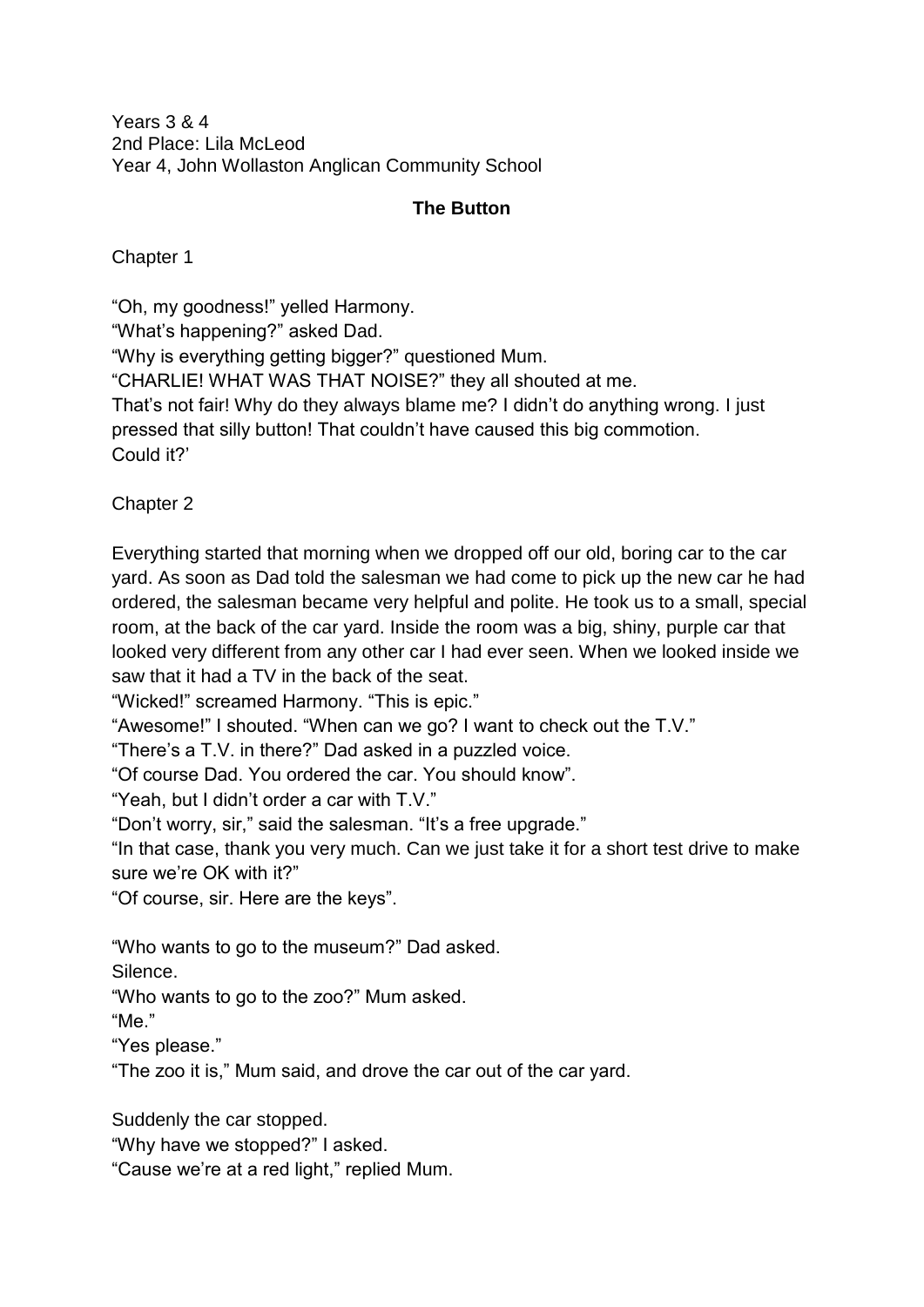Years 3 & 4 2nd Place: Lila McLeod Year 4, John Wollaston Anglican Community School

## **The Button**

Chapter 1

"Oh, my goodness!" yelled Harmony.

"What's happening?" asked Dad.

"Why is everything getting bigger?" questioned Mum.

"CHARLIE! WHAT WAS THAT NOISE?" they all shouted at me.

That's not fair! Why do they always blame me? I didn't do anything wrong. I just pressed that silly button! That couldn't have caused this big commotion. Could it?'

Chapter 2

Everything started that morning when we dropped off our old, boring car to the car yard. As soon as Dad told the salesman we had come to pick up the new car he had ordered, the salesman became very helpful and polite. He took us to a small, special room, at the back of the car yard. Inside the room was a big, shiny, purple car that looked very different from any other car I had ever seen. When we looked inside we saw that it had a TV in the back of the seat.

"Wicked!" screamed Harmony. "This is epic."

"Awesome!" I shouted. "When can we go? I want to check out the T.V."

"There's a T.V. in there?" Dad asked in a puzzled voice.

"Of course Dad. You ordered the car. You should know".

"Yeah, but I didn't order a car with T.V."

"Don't worry, sir," said the salesman. "It's a free upgrade."

"In that case, thank you very much. Can we just take it for a short test drive to make sure we're OK with it?"

"Of course, sir. Here are the keys".

"Who wants to go to the museum?" Dad asked.

Silence.

"Who wants to go to the zoo?" Mum asked.

"Me."

"Yes please."

"The zoo it is," Mum said, and drove the car out of the car yard.

Suddenly the car stopped.

"Why have we stopped?" I asked.

"Cause we're at a red light," replied Mum.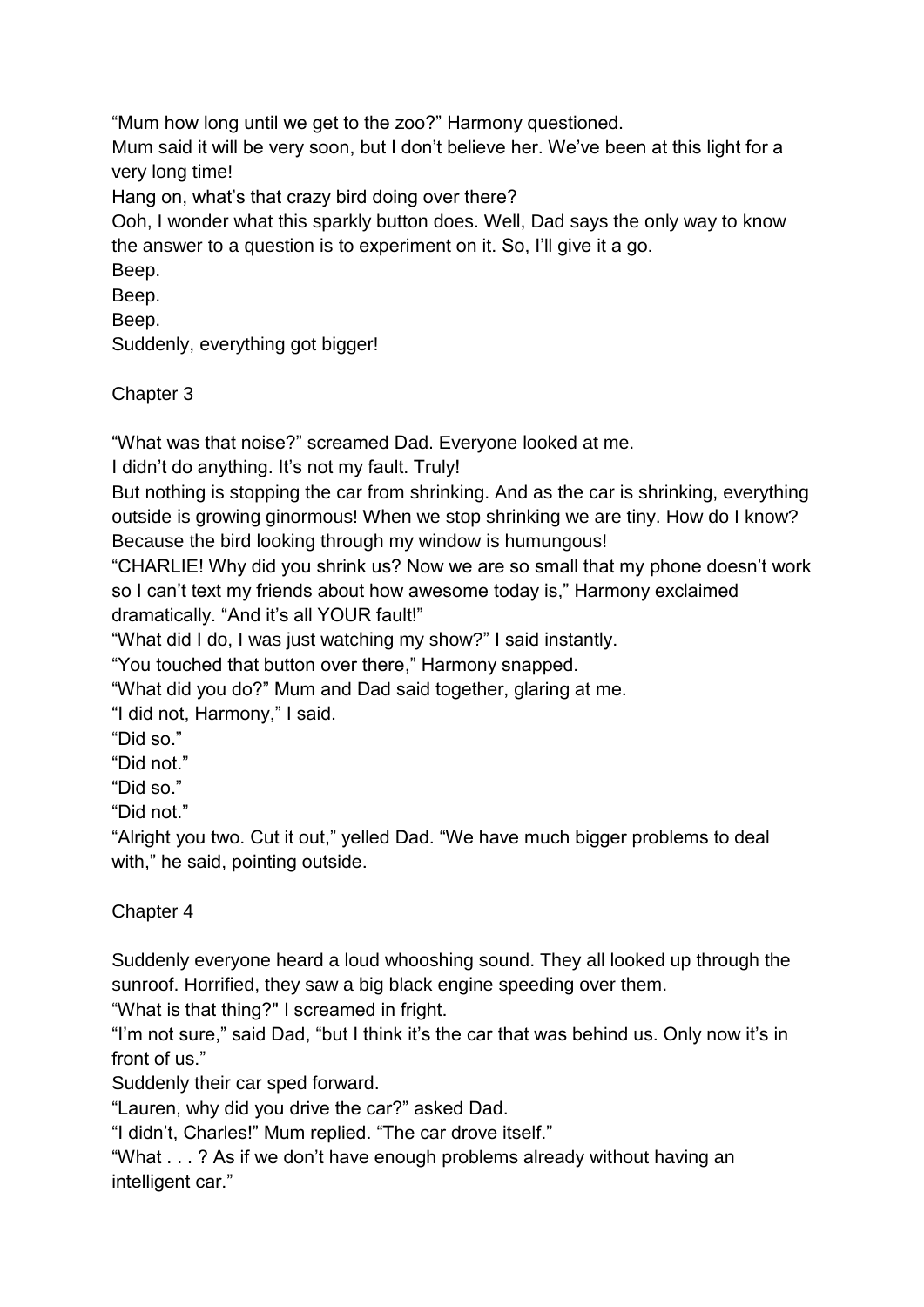"Mum how long until we get to the zoo?" Harmony questioned.

Mum said it will be very soon, but I don't believe her. We've been at this light for a very long time!

Hang on, what's that crazy bird doing over there?

Ooh, I wonder what this sparkly button does. Well, Dad says the only way to know the answer to a question is to experiment on it. So, I'll give it a go.

Beep.

Beep.

Beep.

Suddenly, everything got bigger!

Chapter 3

"What was that noise?" screamed Dad. Everyone looked at me.

I didn't do anything. It's not my fault. Truly!

But nothing is stopping the car from shrinking. And as the car is shrinking, everything outside is growing ginormous! When we stop shrinking we are tiny. How do I know? Because the bird looking through my window is humungous!

"CHARLIE! Why did you shrink us? Now we are so small that my phone doesn't work so I can't text my friends about how awesome today is," Harmony exclaimed dramatically. "And it's all YOUR fault!"

"What did I do, I was just watching my show?" I said instantly.

"You touched that button over there," Harmony snapped.

"What did you do?" Mum and Dad said together, glaring at me.

"I did not, Harmony," I said.

"Did so."

"Did not."

"Did so."

"Did not."

"Alright you two. Cut it out," yelled Dad. "We have much bigger problems to deal with," he said, pointing outside.

Chapter 4

Suddenly everyone heard a loud whooshing sound. They all looked up through the sunroof. Horrified, they saw a big black engine speeding over them.

"What is that thing?" I screamed in fright.

"I'm not sure," said Dad, "but I think it's the car that was behind us. Only now it's in front of us."

Suddenly their car sped forward.

"Lauren, why did you drive the car?" asked Dad.

"I didn't, Charles!" Mum replied. "The car drove itself."

"What . . . ? As if we don't have enough problems already without having an intelligent car."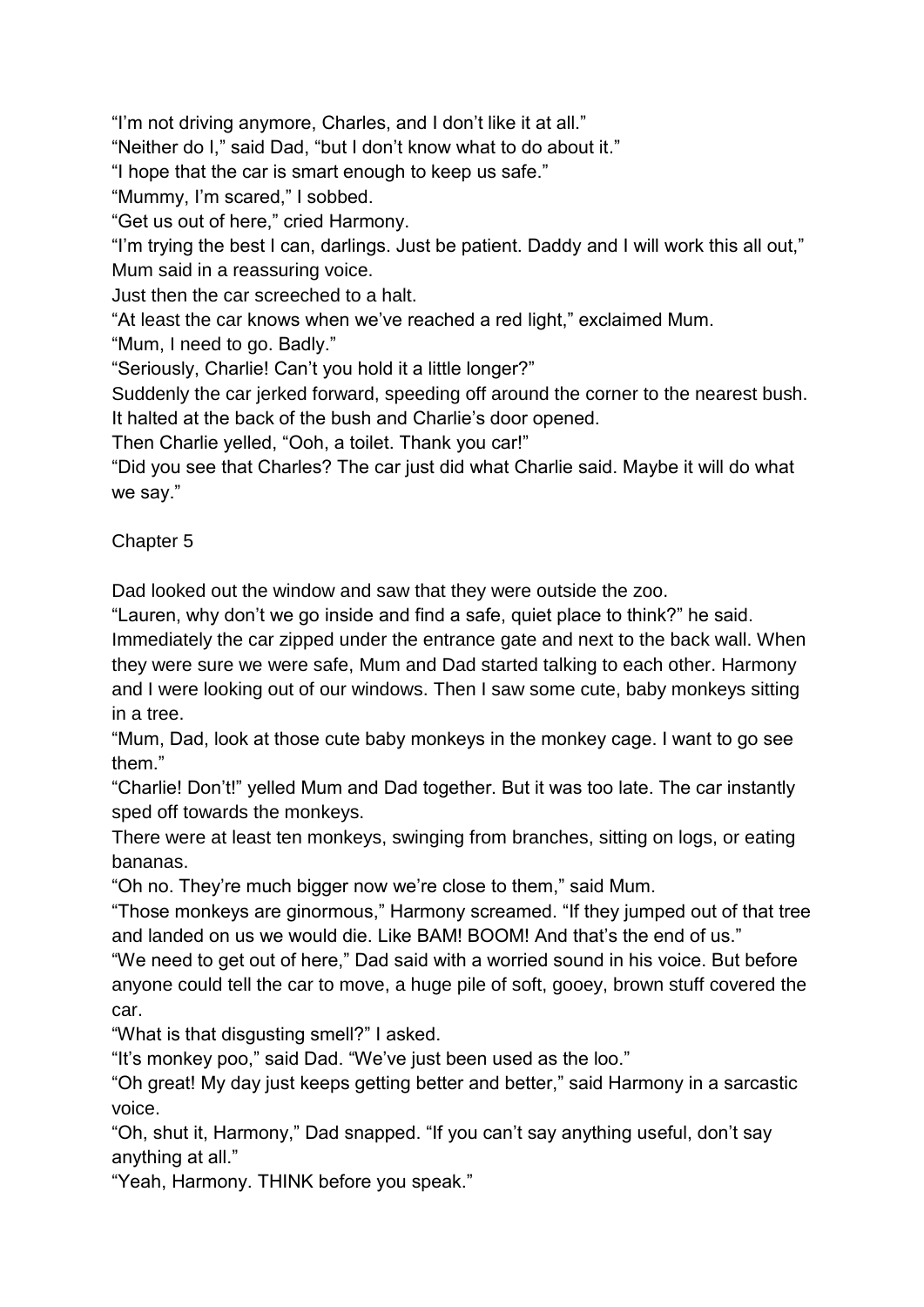"I'm not driving anymore, Charles, and I don't like it at all."

"Neither do I," said Dad, "but I don't know what to do about it."

"I hope that the car is smart enough to keep us safe."

"Mummy, I'm scared," I sobbed.

"Get us out of here," cried Harmony.

"I'm trying the best I can, darlings. Just be patient. Daddy and I will work this all out," Mum said in a reassuring voice.

Just then the car screeched to a halt.

"At least the car knows when we've reached a red light," exclaimed Mum.

"Mum, I need to go. Badly."

"Seriously, Charlie! Can't you hold it a little longer?"

Suddenly the car jerked forward, speeding off around the corner to the nearest bush. It halted at the back of the bush and Charlie's door opened.

Then Charlie yelled, "Ooh, a toilet. Thank you car!"

"Did you see that Charles? The car just did what Charlie said. Maybe it will do what we say."

Chapter 5

Dad looked out the window and saw that they were outside the zoo.

"Lauren, why don't we go inside and find a safe, quiet place to think?" he said. Immediately the car zipped under the entrance gate and next to the back wall. When they were sure we were safe, Mum and Dad started talking to each other. Harmony and I were looking out of our windows. Then I saw some cute, baby monkeys sitting in a tree.

"Mum, Dad, look at those cute baby monkeys in the monkey cage. I want to go see them."

"Charlie! Don't!" yelled Mum and Dad together. But it was too late. The car instantly sped off towards the monkeys.

There were at least ten monkeys, swinging from branches, sitting on logs, or eating bananas.

"Oh no. They're much bigger now we're close to them," said Mum.

"Those monkeys are ginormous," Harmony screamed. "If they jumped out of that tree and landed on us we would die. Like BAM! BOOM! And that's the end of us."

"We need to get out of here," Dad said with a worried sound in his voice. But before anyone could tell the car to move, a huge pile of soft, gooey, brown stuff covered the car.

"What is that disgusting smell?" I asked.

"It's monkey poo," said Dad. "We've just been used as the loo."

"Oh great! My day just keeps getting better and better," said Harmony in a sarcastic voice.

"Oh, shut it, Harmony," Dad snapped. "If you can't say anything useful, don't say anything at all."

"Yeah, Harmony. THINK before you speak."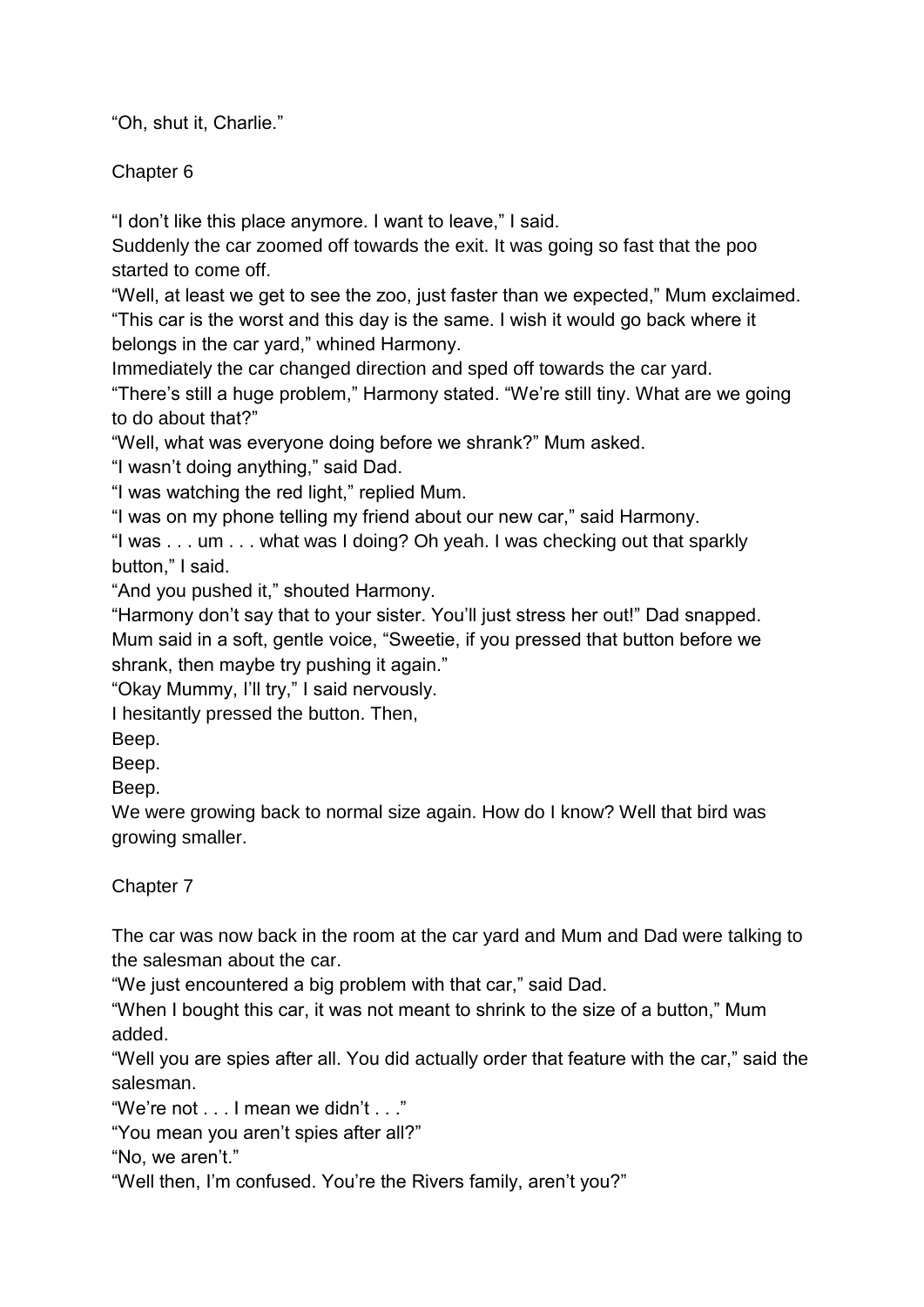"Oh, shut it, Charlie."

Chapter 6

"I don't like this place anymore. I want to leave," I said.

Suddenly the car zoomed off towards the exit. It was going so fast that the poo started to come off.

"Well, at least we get to see the zoo, just faster than we expected," Mum exclaimed. "This car is the worst and this day is the same. I wish it would go back where it belongs in the car yard," whined Harmony.

Immediately the car changed direction and sped off towards the car yard.

"There's still a huge problem," Harmony stated. "We're still tiny. What are we going to do about that?"

"Well, what was everyone doing before we shrank?" Mum asked.

"I wasn't doing anything," said Dad.

"I was watching the red light," replied Mum.

"I was on my phone telling my friend about our new car," said Harmony.

"I was . . . um . . . what was I doing? Oh yeah. I was checking out that sparkly button," I said.

"And you pushed it," shouted Harmony.

"Harmony don't say that to your sister. You'll just stress her out!" Dad snapped. Mum said in a soft, gentle voice, "Sweetie, if you pressed that button before we shrank, then maybe try pushing it again."

"Okay Mummy, I'll try," I said nervously.

I hesitantly pressed the button. Then,

Beep.

Beep.

Beep.

We were growing back to normal size again. How do I know? Well that bird was growing smaller.

Chapter 7

The car was now back in the room at the car yard and Mum and Dad were talking to the salesman about the car.

"We just encountered a big problem with that car," said Dad.

"When I bought this car, it was not meant to shrink to the size of a button," Mum added.

"Well you are spies after all. You did actually order that feature with the car," said the salesman.

"We're not . . . I mean we didn't . . ."

"You mean you aren't spies after all?"

"No, we aren't."

"Well then, I'm confused. You're the Rivers family, aren't you?"